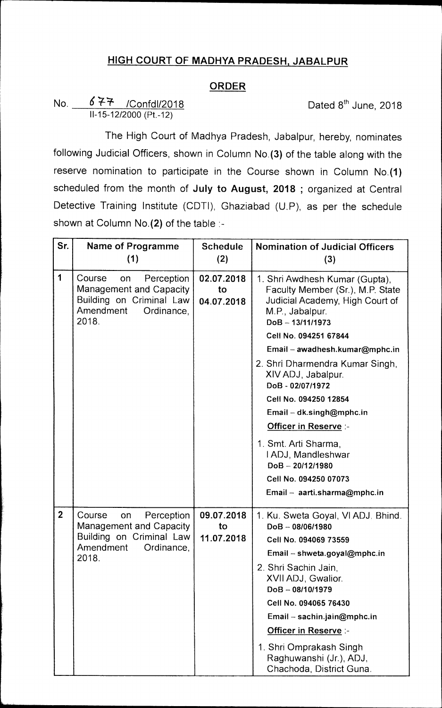## **HIGH COURT OF MADHYA PRADESH, JABALPUR**

## **ORDER**

## No.  $677$  /Confdl/2018 **Dated 8th June, 2018** 11-15-12/2000 (Pt.-12)

The High Court of Madhya Pradesh, Jabalpur, hereby, nominates following Judicial Officers, shown in Column No.(3) of the table along with the reserve nomination to participate in the Course shown in Column No.(1) scheduled from the month of **July to August, 2018 ;** organized at Central Detective Training Institute (CDT!), Ghaziabad (U.P), as per the schedule shown at Column No.(2) of the table :-

| Sr.            | <b>Name of Programme</b><br>(1)                                                                                       | <b>Schedule</b><br>(2)         | <b>Nomination of Judicial Officers</b><br>(3)                                                                                              |
|----------------|-----------------------------------------------------------------------------------------------------------------------|--------------------------------|--------------------------------------------------------------------------------------------------------------------------------------------|
| 1              | Course<br>Perception<br>on<br>Management and Capacity<br>Building on Criminal Law<br>Amendment<br>Ordinance,<br>2018. | 02.07.2018<br>to<br>04.07.2018 | 1. Shri Awdhesh Kumar (Gupta),<br>Faculty Member (Sr.), M.P. State<br>Judicial Academy, High Court of<br>M.P., Jabalpur.<br>DoB-13/11/1973 |
|                |                                                                                                                       |                                | Cell No. 094251 67844                                                                                                                      |
|                |                                                                                                                       |                                | Email - awadhesh.kumar@mphc.in                                                                                                             |
|                |                                                                                                                       |                                | 2. Shri Dharmendra Kumar Singh,<br>XIV ADJ, Jabalpur.<br>DoB-02/07/1972                                                                    |
|                |                                                                                                                       |                                | Cell No. 094250 12854                                                                                                                      |
|                |                                                                                                                       |                                | Email - dk.singh@mphc.in                                                                                                                   |
|                |                                                                                                                       |                                | Officer in Reserve :-                                                                                                                      |
|                |                                                                                                                       |                                | 1. Smt. Arti Sharma,<br>I ADJ, Mandleshwar<br>$DoB - 20/12/1980$                                                                           |
|                |                                                                                                                       |                                | Cell No. 094250 07073                                                                                                                      |
|                |                                                                                                                       |                                | Email - aarti.sharma@mphc.in                                                                                                               |
| $\overline{2}$ | Course<br>Perception<br>on<br>Management and Capacity<br>Building on Criminal Law                                     | 09.07.2018<br>to<br>11.07.2018 | 1. Ku. Sweta Goyal, VI ADJ. Bhind.<br>$DoB - 08/06/1980$<br>Cell No. 094069 73559                                                          |
|                | Amendment<br>Ordinance,                                                                                               |                                | Email - shweta.goyal@mphc.in                                                                                                               |
|                | 2018.                                                                                                                 |                                | 2. Shri Sachin Jain,                                                                                                                       |
|                |                                                                                                                       |                                | XVII ADJ, Gwalior.<br>$DoB - 08/10/1979$                                                                                                   |
|                |                                                                                                                       |                                | Cell No. 094065 76430                                                                                                                      |
|                |                                                                                                                       |                                | Email - sachin.jain@mphc.in                                                                                                                |
|                |                                                                                                                       |                                | Officer in Reserve :-                                                                                                                      |
|                |                                                                                                                       |                                | 1. Shri Omprakash Singh<br>Raghuwanshi (Jr.), ADJ,<br>Chachoda, District Guna.                                                             |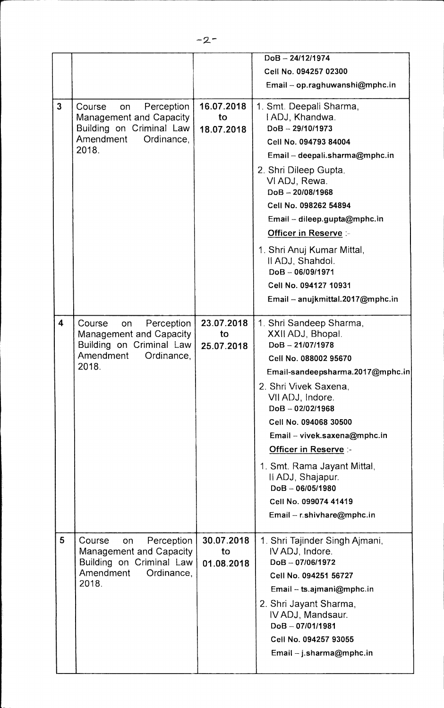|                         |                                                                                                                              |                                | DoB-24/12/1974                                                                                                                                                                                                                                                                                                                                                                                                        |
|-------------------------|------------------------------------------------------------------------------------------------------------------------------|--------------------------------|-----------------------------------------------------------------------------------------------------------------------------------------------------------------------------------------------------------------------------------------------------------------------------------------------------------------------------------------------------------------------------------------------------------------------|
|                         |                                                                                                                              |                                | Cell No. 094257 02300                                                                                                                                                                                                                                                                                                                                                                                                 |
|                         |                                                                                                                              |                                | Email - op.raghuwanshi@mphc.in                                                                                                                                                                                                                                                                                                                                                                                        |
| $\overline{3}$          | Perception<br>Course<br>on<br>Management and Capacity<br>Building on Criminal Law<br>Amendment<br>Ordinance,<br>2018.        | 16.07.2018<br>to<br>18.07.2018 | 1. Smt. Deepali Sharma,<br>I ADJ, Khandwa.<br>$DoB - 29/10/1973$<br>Cell No. 094793 84004<br>Email - deepali.sharma@mphc.in<br>2. Shri Dileep Gupta.<br>VI ADJ, Rewa.<br>$DoB - 20/08/1968$<br>Cell No. 098262 54894<br>Email - dileep.gupta@mphc.in<br><b>Officer in Reserve :-</b><br>1. Shri Anuj Kumar Mittal,<br>II ADJ, Shahdol.<br>DoB-06/09/1971<br>Cell No. 094127 10931<br>Email - anujkmittal.2017@mphc.in |
| $\overline{\mathbf{4}}$ | Perception<br>Course<br>on<br><b>Management and Capacity</b><br>Building on Criminal Law<br>Amendment<br>Ordinance,<br>2018. | 23.07.2018<br>to<br>25.07.2018 | 1. Shri Sandeep Sharma,<br>XXII ADJ, Bhopal.<br>$DoB - 21/07/1978$<br>Cell No. 088002 95670<br>Email-sandeepsharma.2017@mphc.in<br>2. Shri Vivek Saxena,<br>VII ADJ, Indore.<br>$DoB - 02/02/1968$<br>Cell No. 094068 30500<br>Email - vivek.saxena@mphc.in<br>Officer in Reserve :-<br>1. Smt. Rama Jayant Mittal,<br>II ADJ, Shajapur.<br>$DoB - 06/05/1980$<br>Cell No. 099074 41419<br>Email - r.shivhare@mphc.in |
| 5                       | Course<br>Perception<br>on<br>Management and Capacity<br>Building on Criminal Law<br>Amendment<br>Ordinance,<br>2018.        | 30.07.2018<br>to<br>01.08.2018 | 1. Shri Tajinder Singh Ajmani,<br>IV ADJ, Indore.<br>DoB-07/06/1972<br>Cell No. 094251 56727<br>Email - ts.ajmani@mphc.in<br>2. Shri Jayant Sharma,<br>IV ADJ, Mandsaur.<br>$DoB - 07/01/1981$<br>Cell No. 094257 93055<br>Email - j.sharma@mphc.in                                                                                                                                                                   |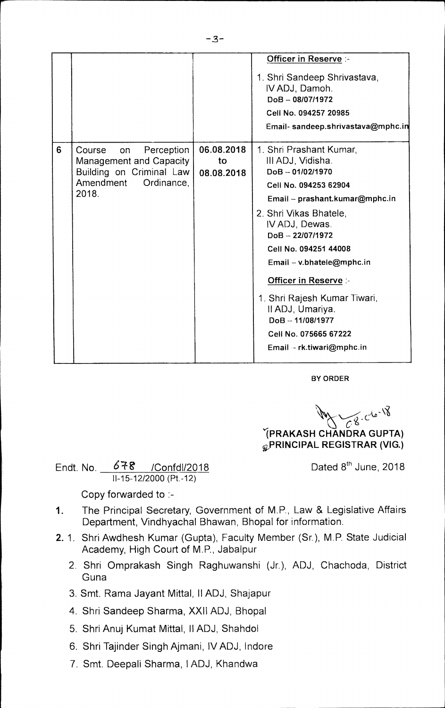|   |                                                                                                                       |                                | <b>Officer in Reserve :-</b><br>1. Shri Sandeep Shrivastava,<br>IV ADJ, Damoh.<br>$DoB - 08/07/1972$<br>Cell No. 094257 20985<br>Email- sandeep.shrivastava@mphc.in                                                                                                                                                                                                                                                |
|---|-----------------------------------------------------------------------------------------------------------------------|--------------------------------|--------------------------------------------------------------------------------------------------------------------------------------------------------------------------------------------------------------------------------------------------------------------------------------------------------------------------------------------------------------------------------------------------------------------|
| 6 | Course<br>Perception<br>on<br>Management and Capacity<br>Building on Criminal Law<br>Amendment<br>Ordinance,<br>2018. | 06.08.2018<br>to<br>08.08.2018 | 1. Shri Prashant Kumar,<br>III ADJ, Vidisha.<br>$DoB - 01/02/1970$<br>Cell No. 094253 62904<br>Email - prashant.kumar@mphc.in<br>2. Shri Vikas Bhatele,<br>IV ADJ, Dewas.<br>DoB-22/07/1972<br>Cell No. 094251 44008<br>Email - v.bhatele@mphc.in<br><b>Officer in Reserve :-</b><br>1. Shri Rajesh Kumar Tiwari,<br>Il ADJ, Umariya.<br>$DoB - 11/08/1977$<br>Cell No. 075665 67222<br>Email -- rk.tiwari@mphc.in |

**BY ORDER** 

 $C8 - C6 - 18$ **IPRAKASH CHANDRA GUPTA)** 

**PRINCIPAL REGISTRAR (VIG.)** 

Endt. No.  $678$  /Confdl/2018 Dated 8<sup>th</sup> June, 2018

..3.

Copy forwarded to :-

11-15-12/2000 (Pt.-12)

- 1. The Principal Secretary, Government of M.P., Law & Legislative Affairs Department, Vindhyachal Bhawan, Bhopal for information.
- 2. 1. Shri Awdhesh Kumar (Gupta), Faculty Member (Sr.), M.P. State Judicial Academy, High Court of M.P., Jabalpur
	- 2. Shri Omprakash Singh Raghuwanshi (Jr.), ADJ, Chachoda, District Guna
	- 3. Smt. Rama Jayant Mittal, II ADJ, Shajapur
	- 4. Shri Sandeep Sharma, XXII ADJ, Bhopal
	- 5. Shri Anuj Kumat Mittal, II ADJ, Shahdol
	- 6. Shri Tajinder Singh Ajmani, IV ADJ, lndore
	- 7. Smt. Deepali Sharma, 1ADJ, Khandwa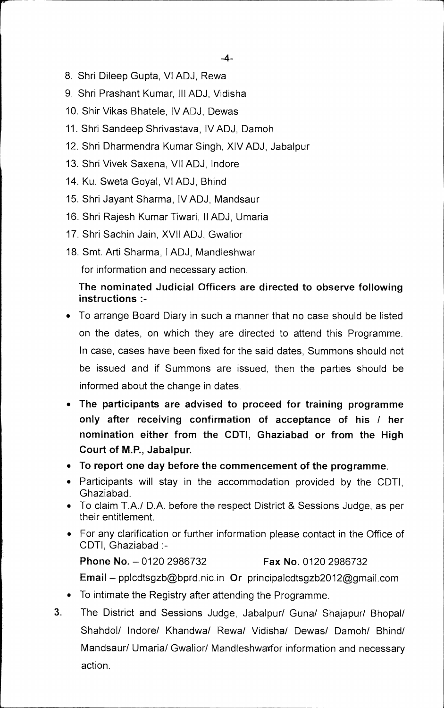- 8. Shri Dileep Gupta, VI ADJ, Rewa
- 9. Shri Prashant Kumar, Ill ADJ, Vidisha
- 10. Shir Vikas Bhatele, IV ADJ, Dewas
- 11. Shri Sandeep Shrivastava, IV ADJ, Damoh
- 12. Shri Dharmendra Kumar Singh, XIV ADJ, Jabalpur
- 13. Shri Vivek Saxena, VII ADJ, Indore
- 14. Ku. Sweta Goyal, VI ADJ, Bhind
- 15. Shri Jayant Sharma, IV ADJ, Mandsaur
- 16. Shri Rajesh Kumar Tiwari, II ADJ, Umaria
- 17. Shri Sachin Jain, XVII ADJ, Gwalior
- 18. Smt. Arti Sharma, I ADJ, Mandleshwar for information and necessary action.

## **The nominated Judicial Officers are directed to observe following instructions :-**

- To arrange Board Diary in such a manner that no case should be listed on the dates, on which they are directed to attend this Programme. In case, cases have been fixed for the said dates, Summons should not be issued and if Summons are issued, then the parties should be informed about the change in dates.
- **The participants are advised to proceed for training programme only after receiving confirmation of acceptance of his / her nomination either from the CDTI, Ghaziabad or from the High Court of M.P., Jabalpur.**
- **To report one day before the commencement of the programme.**
- Participants will stay in the accommodation provided by the CDTI, Ghaziabad.
- To claim T.A./ D.A. before the respect District & Sessions Judge, as per their entitlement.
- For any clarification or further information please contact in the Office of CDTI, Ghaziabad **:-**

**Phone No. —** 0120 2986732 **Fax No.** 0120 2986732

**Email —** pplcdtsgzb@bprd.nic.in **Or** principalcdtsgzb2012@gmail.com

- To intimate the Registry after attending the Programme.
- **3.** The District and Sessions Judge, Jabalpur/ Guna/ Shajapur/ Bhopal/ Shahdol/ lndore/ Khandwa/ Rewa/ Vidisha/ Dewas/ Damoh/ Bhind/ Mandsaur/ Umaria/ Gwalior/ Mandleshwarfor information and necessary action.